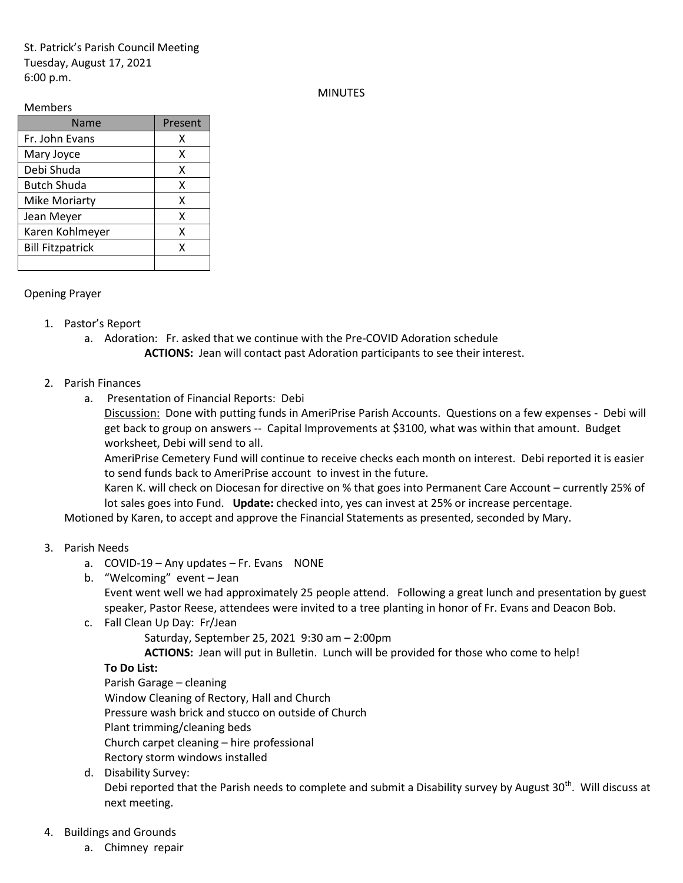St. Patrick's Parish Council Meeting Tuesday, August 17, 2021 6:00 p.m.

### MINUTES

#### Members

| Name                    | Present |
|-------------------------|---------|
| Fr. John Evans          | х       |
| Mary Joyce              | x       |
| Debi Shuda              | x       |
| <b>Butch Shuda</b>      | x       |
| <b>Mike Moriarty</b>    | x       |
| Jean Meyer              | x       |
| Karen Kohlmeyer         | x       |
| <b>Bill Fitzpatrick</b> | x       |
|                         |         |

### Opening Prayer

- 1. Pastor's Report
	- a. Adoration: Fr. asked that we continue with the Pre-COVID Adoration schedule **ACTIONS:** Jean will contact past Adoration participants to see their interest.
- 2. Parish Finances
	- a. Presentation of Financial Reports: Debi

Discussion: Done with putting funds in AmeriPrise Parish Accounts. Questions on a few expenses - Debi will get back to group on answers -- Capital Improvements at \$3100, what was within that amount. Budget worksheet, Debi will send to all.

AmeriPrise Cemetery Fund will continue to receive checks each month on interest. Debi reported it is easier to send funds back to AmeriPrise account to invest in the future.

Karen K. will check on Diocesan for directive on % that goes into Permanent Care Account – currently 25% of lot sales goes into Fund. **Update:** checked into, yes can invest at 25% or increase percentage.

Motioned by Karen, to accept and approve the Financial Statements as presented, seconded by Mary.

# 3. Parish Needs

- a. COVID-19 Any updates Fr. Evans NONE
- b. "Welcoming" event Jean

Event went well we had approximately 25 people attend. Following a great lunch and presentation by guest speaker, Pastor Reese, attendees were invited to a tree planting in honor of Fr. Evans and Deacon Bob.

c. Fall Clean Up Day: Fr/Jean

Saturday, September 25, 2021 9:30 am – 2:00pm

**ACTIONS:** Jean will put in Bulletin. Lunch will be provided for those who come to help!

# **To Do List:**

Parish Garage – cleaning Window Cleaning of Rectory, Hall and Church Pressure wash brick and stucco on outside of Church Plant trimming/cleaning beds Church carpet cleaning – hire professional Rectory storm windows installed

d. Disability Survey:

Debi reported that the Parish needs to complete and submit a Disability survey by August 30<sup>th</sup>. Will discuss at next meeting.

### 4. Buildings and Grounds

a. Chimney repair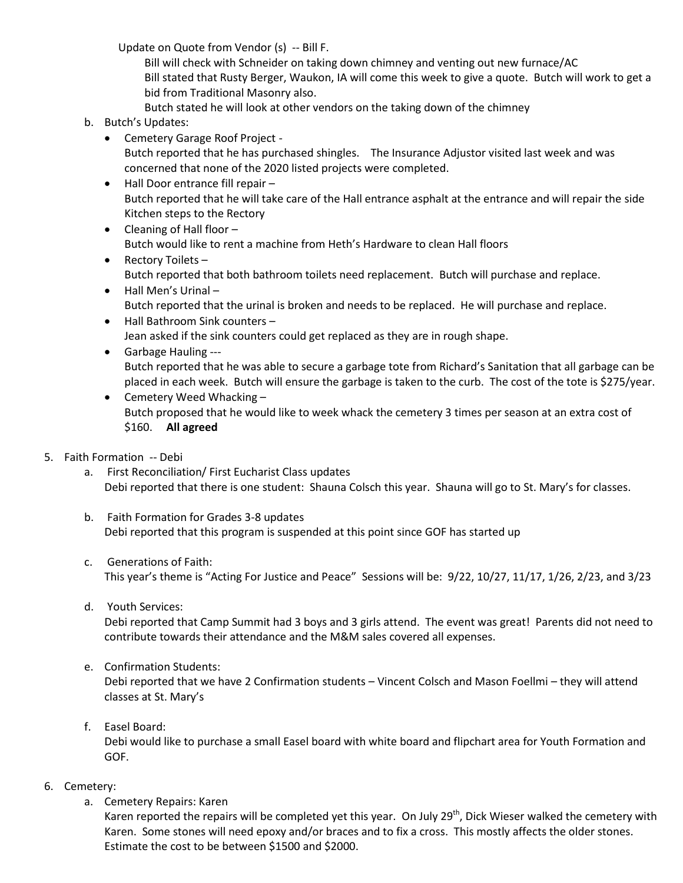Update on Quote from Vendor (s) -- Bill F.

Bill will check with Schneider on taking down chimney and venting out new furnace/AC Bill stated that Rusty Berger, Waukon, IA will come this week to give a quote. Butch will work to get a bid from Traditional Masonry also. Butch stated he will look at other vendors on the taking down of the chimney

- b. Butch's Updates:
	- Cemetery Garage Roof Project Butch reported that he has purchased shingles. The Insurance Adjustor visited last week and was concerned that none of the 2020 listed projects were completed.
	- Hall Door entrance fill repair Butch reported that he will take care of the Hall entrance asphalt at the entrance and will repair the side Kitchen steps to the Rectory
	- Cleaning of Hall floor -Butch would like to rent a machine from Heth's Hardware to clean Hall floors
	- Rectory Toilets Butch reported that both bathroom toilets need replacement. Butch will purchase and replace.
	- Hall Men's Urinal Butch reported that the urinal is broken and needs to be replaced. He will purchase and replace.
	- Hall Bathroom Sink counters Jean asked if the sink counters could get replaced as they are in rough shape.
	- Garbage Hauling --- Butch reported that he was able to secure a garbage tote from Richard's Sanitation that all garbage can be placed in each week. Butch will ensure the garbage is taken to the curb. The cost of the tote is \$275/year.
	- Cemetery Weed Whacking -Butch proposed that he would like to week whack the cemetery 3 times per season at an extra cost of \$160. **All agreed**
- 5. Faith Formation -- Debi
	- a. First Reconciliation/ First Eucharist Class updates Debi reported that there is one student: Shauna Colsch this year. Shauna will go to St. Mary's for classes.
	- b. Faith Formation for Grades 3-8 updates Debi reported that this program is suspended at this point since GOF has started up
	- c. Generations of Faith: This year's theme is "Acting For Justice and Peace" Sessions will be: 9/22, 10/27, 11/17, 1/26, 2/23, and 3/23
	- d. Youth Services:

Debi reported that Camp Summit had 3 boys and 3 girls attend. The event was great! Parents did not need to contribute towards their attendance and the M&M sales covered all expenses.

e. Confirmation Students:

Debi reported that we have 2 Confirmation students – Vincent Colsch and Mason Foellmi – they will attend classes at St. Mary's

f. Easel Board:

Debi would like to purchase a small Easel board with white board and flipchart area for Youth Formation and GOF.

- 6. Cemetery:
	- a. Cemetery Repairs: Karen

Karen reported the repairs will be completed yet this year. On July 29<sup>th</sup>, Dick Wieser walked the cemetery with Karen. Some stones will need epoxy and/or braces and to fix a cross. This mostly affects the older stones. Estimate the cost to be between \$1500 and \$2000.